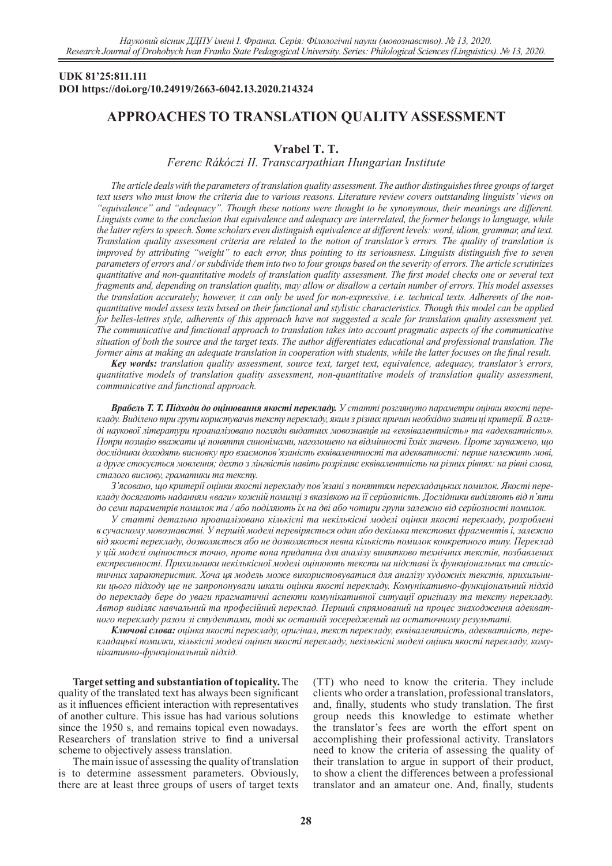### **UDK 81'25:811.111 DOI https://doi.org/10.24919/2663-6042.13.2020.214324**

# **APPROACHES TO TRANSLATION QUALITY ASSESSMENT**

## **Vrabel T. T.**

*Ferenc Rákóczi II. Transcarpathian Hungarian Institute*

*The article deals with the parameters of translation quality assessment. The author distinguishes three groups of target text users who must know the criteria due to various reasons. Literature review covers outstanding linguists' views on "equivalence" and "adequacy". Though these notions were thought to be synonymous, their meanings are different. Linguists come to the conclusion that equivalence and adequacy are interrelated, the former belongs to language, while the latter refers to speech. Some scholars even distinguish equivalence at different levels: word, idiom, grammar, and text. Translation quality assessment criteria are related to the notion of translator's errors. The quality of translation is improved by attributing "weight" to each error, thus pointing to its seriousness. Linguists distinguish five to seven parameters of errors and / or subdivide them into two to four groups based on the severity of errors. The article scrutinizes quantitative and non-quantitative models of translation quality assessment. The first model checks one or several text fragments and, depending on translation quality, may allow or disallow a certain number of errors. This model assesses the translation accurately; however, it can only be used for non-expressive, i.e. technical texts. Adherents of the nonquantitative model assess texts based on their functional and stylistic characteristics. Though this model can be applied for belles-lettres style, adherents of this approach have not suggested a scale for translation quality assessment yet. The communicative and functional approach to translation takes into account pragmatic aspects of the communicative situation of both the source and the target texts. The author differentiates educational and professional translation. The former aims at making an adequate translation in cooperation with students, while the latter focuses on the final result.* 

*Key words: translation quality assessment, source text, target text, equivalence, adequacy, translator's errors, quantitative models of translation quality assessment, non-quantitative models of translation quality assessment, communicative and functional approach.*

*Врабель Т. Т. Підходи до оцінювання якості перекладу. У статті розглянуто параметри оцінки якості перекладу. Виділено три групи користувачів тексту перекладу, яким з різних причин необхідно знати ці критерії. В огляді наукової літератури проаналізовано погляди видатних мовознавців на «еквівалентність» та «адекватність». Попри позицію вважати ці поняття синонімами, наголошено на відмінності їхніх значень. Проте зауважено, що дослідники доходять висновку про взаємопов'язаність еквівалентності та адекватності: перше належить мові, а друге стосується мовлення; дехто з лінгвістів навіть розрізняє еквівалентність на різних рівнях: на рівні слова, сталого вислову, граматики та тексту.* 

*З'ясовано, що критерії оцінки якості перекладу пов'язані з поняттям перекладацьких помилок. Якості перекладу досягають наданням «ваги» кожній помилці з вказівкою на її серйозність. Дослідники виділяють від п'яти до семи параметрів помилок та / або поділяють їх на дві або чотири групи залежно від серйозності помилок.* 

*У статті детально проаналізовано кількісні та некількісні моделі оцінки якості перекладу, розроблені в сучасному мовознавстві. У першій моделі перевіряється один або декілька текстових фрагментів і, залежно від якості перекладу, дозволяється або не дозволяється певна кількість помилок конкретного типу. Переклад у цій моделі оцінюється точно, проте вона придатна для аналізу винятково технічних текстів, позбавлених експресивності. Прихильники некількісної моделі оцінюють тексти на підставі їх функціональних та стилістичних характеристик. Хоча ця модель може використовуватися для аналізу художніх текстів, прихильники цього підходу ще не запропонували шкали оцінки якості перекладу. Комунікативно-функціональний підхід до перекладу бере до уваги прагматичні аспекти комунікативної ситуації оригіналу та тексту перекладу. Автор виділяє навчальний та професійний переклад. Перший спрямований на процес знаходження адекватного перекладу разом зі студентами, тоді як останній зосереджений на остаточному результаті.* 

*Ключові слова: оцінка якості перекладу, оригінал, текст перекладу, еквівалентність, адекватність, перекладацькі помилки, кількісні моделі оцінки якості перекладу, некількісні моделі оцінки якості перекладу, комунікативно-функціональний підхід.*

**Target setting and substantiation of topicality.** The quality of the translated text has always been significant as it influences efficient interaction with representatives of another culture. This issue has had various solutions since the 1950 s, and remains topical even nowadays. Researchers of translation strive to find a universal scheme to objectively assess translation.

The main issue of assessing the quality of translation is to determine assessment parameters. Obviously, there are at least three groups of users of target texts

(TT) who need to know the criteria. They include clients who order a translation, professional translators, and, finally, students who study translation. The first group needs this knowledge to estimate whether the translator's fees are worth the effort spent on accomplishing their professional activity. Translators need to know the criteria of assessing the quality of their translation to argue in support of their product, to show a client the differences between a professional translator and an amateur one. And, finally, students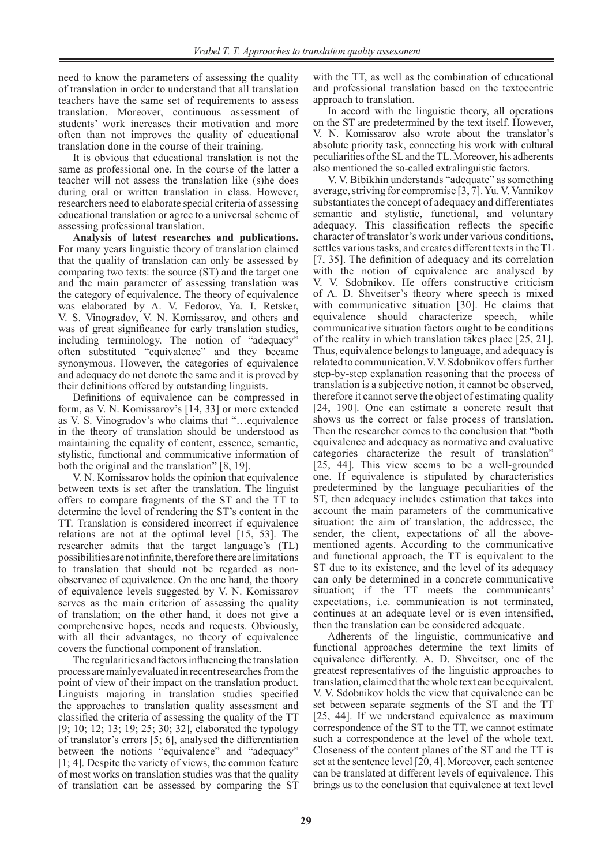need to know the parameters of assessing the quality of translation in order to understand that all translation teachers have the same set of requirements to assess translation. Moreover, continuous assessment of students' work increases their motivation and more often than not improves the quality of educational translation done in the course of their training.

It is obvious that educational translation is not the same as professional one. In the course of the latter a teacher will not assess the translation like (s)he does during oral or written translation in class. However, researchers need to elaborate special criteria of assessing educational translation or agree to a universal scheme of assessing professional translation.

**Analysis of latest researches and publications.**  For many years linguistic theory of translation claimed that the quality of translation can only be assessed by comparing two texts: the source (ST) and the target one and the main parameter of assessing translation was the category of equivalence. The theory of equivalence was elaborated by A. V. Fedorov, Ya. I. Retsker, V. S. Vinogradov, V. N. Komissarov, and others and was of great significance for early translation studies, including terminology. The notion of "adequacy" often substituted "equivalence" and they became synonymous. However, the categories of equivalence and adequacy do not denote the same and it is proved by their definitions offered by outstanding linguists.

Definitions of equivalence can be compressed in form, as V. N. Komissarov's [14, 33] or more extended as V. S. Vinogradov's who claims that "…equivalence in the theory of translation should be understood as maintaining the equality of content, essence, semantic, stylistic, functional and communicative information of both the original and the translation" [8, 19].

V. N. Komissarov holds the opinion that equivalence between texts is set after the translation. The linguist offers to compare fragments of the ST and the TT to determine the level of rendering the ST's content in the TT. Translation is considered incorrect if equivalence relations are not at the optimal level [15, 53]. The researcher admits that the target language's (TL) possibilities are not infinite, therefore there are limitations to translation that should not be regarded as nonobservance of equivalence. On the one hand, the theory of equivalence levels suggested by V. N. Komissarov serves as the main criterion of assessing the quality of translation; on the other hand, it does not give a comprehensive hopes, needs and requests. Obviously, with all their advantages, no theory of equivalence covers the functional component of translation.

The regularities and factors influencing the translation process are mainly evaluated in recent researches from the point of view of their impact on the translation product. Linguists majoring in translation studies specified the approaches to translation quality assessment and classified the criteria of assessing the quality of the TT [9; 10; 12; 13; 19; 25; 30; 32], elaborated the typology of translator's errors [5; 6], analysed the differentiation between the notions "equivalence" and "adequacy" [1; 4]. Despite the variety of views, the common feature of most works on translation studies was that the quality of translation can be assessed by comparing the ST

with the TT, as well as the combination of educational and professional translation based on the textocentric approach to translation.

In accord with the linguistic theory, all operations on the ST are predetermined by the text itself. However, V. N. Komissarov also wrote about the translator's absolute priority task, connecting his work with cultural peculiarities of the SL and the TL. Moreover, his adherents also mentioned the so-called extralinguistic factors.

V. V. Bibikhin understands "adequate" as something average, striving for compromise [3, 7]. Yu. V. Vannikov substantiates the concept of adequacy and differentiates semantic and stylistic, functional, and voluntary adequacy. This classification reflects the specific character of translator's work under various conditions, settles various tasks, and creates different texts in the TL [7, 35]. The definition of adequacy and its correlation with the notion of equivalence are analysed by V. V. Sdobnikov. He offers constructive criticism of A. D. Shveitser's theory where speech is mixed with communicative situation [30]. He claims that equivalence should characterize speech, while communicative situation factors ought to be conditions of the reality in which translation takes place [25, 21]. Thus, equivalence belongs to language, and adequacy is related to communication. V.V.Sdobnikov offers further step-by-step explanation reasoning that the process of translation is a subjective notion, it cannot be observed, therefore it cannot serve the object of estimating quality [24, 190]. One can estimate a concrete result that shows us the correct or false process of translation. Then the researcher comes to the conclusion that "both equivalence and adequacy as normative and evaluative categories characterize the result of translation" [25, 44]. This view seems to be a well-grounded one. If equivalence is stipulated by characteristics predetermined by the language peculiarities of the ST, then adequacy includes estimation that takes into account the main parameters of the communicative situation: the aim of translation, the addressee, the sender, the client, expectations of all the abovementioned agents. According to the communicative and functional approach, the TT is equivalent to the ST due to its existence, and the level of its adequacy can only be determined in a concrete communicative situation; if the TT meets the communicants' expectations, i.e. communication is not terminated, continues at an adequate level or is even intensified, then the translation can be considered adequate.

Adherents of the linguistic, communicative and functional approaches determine the text limits of equivalence differently. A. D. Shveitser, one of the greatest representatives of the linguistic approaches to translation, claimed that the whole text can be equivalent. V. V. Sdobnikov holds the view that equivalence can be set between separate segments of the ST and the TT [25, 44]. If we understand equivalence as maximum correspondence of the ST to the TT, we cannot estimate such a correspondence at the level of the whole text. Closeness of the content planes of the ST and the TT is set at the sentence level [20, 4]. Moreover, each sentence can be translated at different levels of equivalence. This brings us to the conclusion that equivalence at text level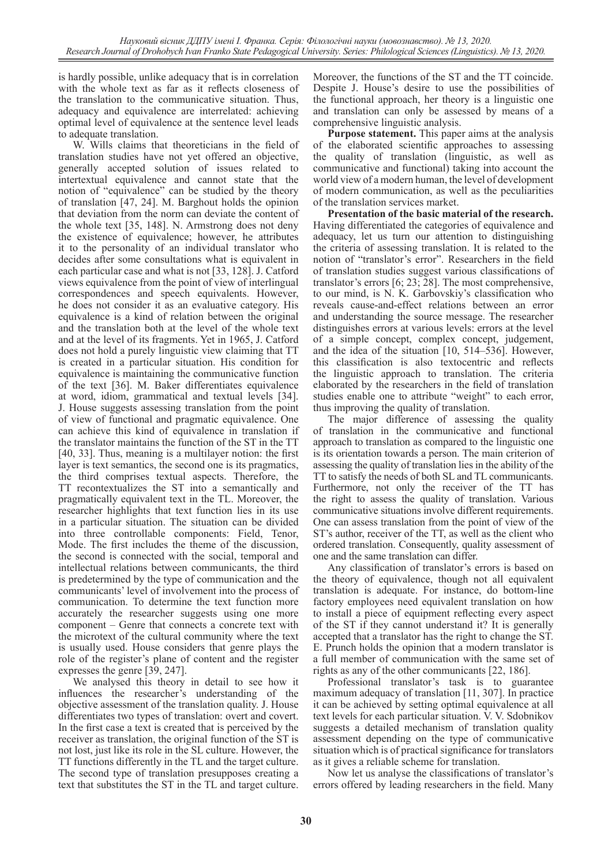is hardly possible, unlike adequacy that is in correlation with the whole text as far as it reflects closeness of the translation to the communicative situation. Thus, adequacy and equivalence are interrelated: achieving optimal level of equivalence at the sentence level leads to adequate translation.

W. Wills claims that theoreticians in the field of translation studies have not yet offered an objective, generally accepted solution of issues related to intertextual equivalence and cannot state that the notion of "equivalence" can be studied by the theory of translation [47, 24]. M. Barghout holds the opinion that deviation from the norm can deviate the content of the whole text [35, 148]. N. Armstrong does not deny the existence of equivalence; however, he attributes it to the personality of an individual translator who decides after some consultations what is equivalent in each particular case and what is not [33, 128]. J. Catford views equivalence from the point of view of interlingual correspondences and speech equivalents. However, he does not consider it as an evaluative category. His equivalence is a kind of relation between the original and the translation both at the level of the whole text and at the level of its fragments. Yet in 1965, J. Catford does not hold a purely linguistic view claiming that TT is created in a particular situation. His condition for equivalence is maintaining the communicative function of the text [36]. M. Baker differentiates equivalence at word, idiom, grammatical and textual levels [34]. J. House suggests assessing translation from the point of view of functional and pragmatic equivalence. One can achieve this kind of equivalence in translation if the translator maintains the function of the ST in the TT [40, 33]. Thus, meaning is a multilayer notion: the first layer is text semantics, the second one is its pragmatics, the third comprises textual aspects. Therefore, the TT recontextualizes the ST into a semantically and pragmatically equivalent text in the TL. Moreover, the researcher highlights that text function lies in its use in a particular situation. The situation can be divided into three controllable components: Field, Tenor, Mode. The first includes the theme of the discussion, the second is connected with the social, temporal and intellectual relations between communicants, the third is predetermined by the type of communication and the communicants' level of involvement into the process of communication. To determine the text function more accurately the researcher suggests using one more component – Genre that connects a concrete text with the microtext of the cultural community where the text is usually used. House considers that genre plays the role of the register's plane of content and the register expresses the genre [39, 247].

We analysed this theory in detail to see how it influences the researcher's understanding of the objective assessment of the translation quality. J. House differentiates two types of translation: overt and covert. In the first case a text is created that is perceived by the receiver as translation, the original function of the ST is not lost, just like its role in the SL culture. However, the TT functions differently in the TL and the target culture. The second type of translation presupposes creating a text that substitutes the ST in the TL and target culture.

Moreover, the functions of the ST and the TT coincide. Despite J. House's desire to use the possibilities of the functional approach, her theory is a linguistic one and translation can only be assessed by means of a comprehensive linguistic analysis.

**Purpose statement.** This paper aims at the analysis of the elaborated scientific approaches to assessing the quality of translation (linguistic, as well as communicative and functional) taking into account the world view of a modern human, the level of development of modern communication, as well as the peculiarities of the translation services market.

**Presentation of the basic material of the research.**  Having differentiated the categories of equivalence and adequacy, let us turn our attention to distinguishing the criteria of assessing translation. It is related to the notion of "translator's error". Researchers in the field of translation studies suggest various classifications of translator's errors [6; 23; 28]. The most comprehensive, to our mind, is N. K. Garbovskiy's classification who reveals cause-and-effect relations between an error and understanding the source message. The researcher distinguishes errors at various levels: errors at the level of a simple concept, complex concept, judgement, and the idea of the situation [10, 514–536]. However, this classification is also textocentric and reflects the linguistic approach to translation. The criteria elaborated by the researchers in the field of translation studies enable one to attribute "weight" to each error, thus improving the quality of translation.

The major difference of assessing the quality of translation in the communicative and functional approach to translation as compared to the linguistic one is its orientation towards a person. The main criterion of assessing the quality of translation lies in the ability of the TT to satisfy the needs of both SL and TL communicants. Furthermore, not only the receiver of the TT has the right to assess the quality of translation. Various communicative situations involve different requirements. One can assess translation from the point of view of the ST's author, receiver of the TT, as well as the client who ordered translation. Consequently, quality assessment of one and the same translation can differ.

Any classification of translator's errors is based on the theory of equivalence, though not all equivalent translation is adequate. For instance, do bottom-line factory employees need equivalent translation on how to install a piece of equipment reflecting every aspect of the ST if they cannot understand it? It is generally accepted that a translator has the right to change the ST. E. Prunch holds the opinion that a modern translator is a full member of communication with the same set of rights as any of the other communicants [22, 186].

Professional translator's task is to guarantee maximum adequacy of translation [11, 307]. In practice it can be achieved by setting optimal equivalence at all text levels for each particular situation. V. V. Sdobnikov suggests a detailed mechanism of translation quality assessment depending on the type of communicative situation which is of practical significance for translators as it gives a reliable scheme for translation.

Now let us analyse the classifications of translator's errors offered by leading researchers in the field. Many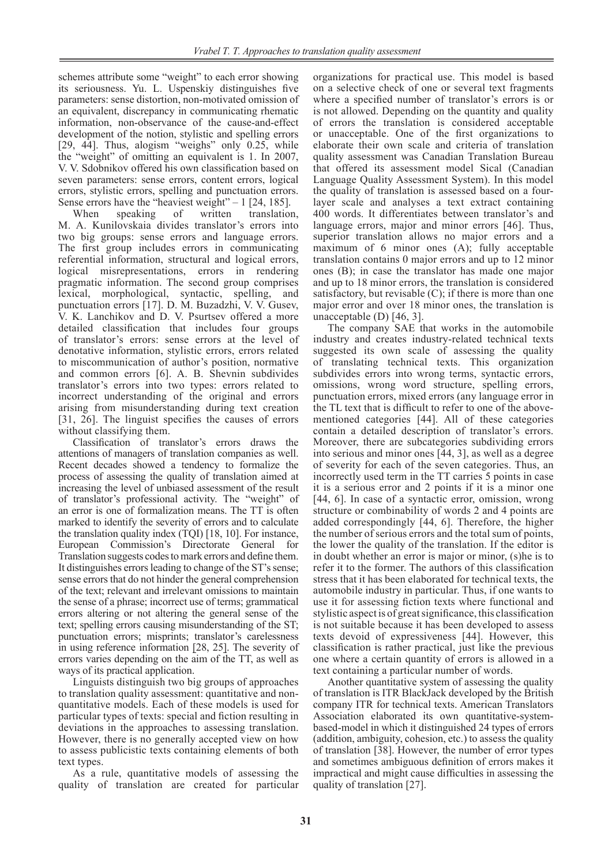schemes attribute some "weight" to each error showing its seriousness. Yu. L. Uspenskiy distinguishes five parameters: sense distortion, non-motivated omission of an equivalent, discrepancy in communicating rhematic information, non-observance of the cause-and-effect development of the notion, stylistic and spelling errors [29, 44]. Thus, alogism "weighs" only 0.25, while the "weight" of omitting an equivalent is 1. In 2007, V. V. Sdobnikov offered his own classification based on seven parameters: sense errors, content errors, logical errors, stylistic errors, spelling and punctuation errors. Sense errors have the "heaviest weight" – 1 [24, 185].

When speaking of written translation, M. A. Kunilovskaia divides translator's errors into two big groups: sense errors and language errors. The first group includes errors in communicating referential information, structural and logical errors, logical misrepresentations, errors in rendering pragmatic information. The second group comprises lexical, morphological, syntactic, spelling, and punctuation errors [17]. D. M. Buzadzhi, V. V. Gusev, V. K. Lanchikov and D. V. Psurtsev offered a more detailed classification that includes four groups of translator's errors: sense errors at the level of denotative information, stylistic errors, errors related to miscommunication of author's position, normative and common errors [6]. A. B. Shevnin subdivides translator's errors into two types: errors related to incorrect understanding of the original and errors arising from misunderstanding during text creation [31, 26]. The linguist specifies the causes of errors without classifying them.

Classification of translator's errors draws the attentions of managers of translation companies as well. Recent decades showed a tendency to formalize the process of assessing the quality of translation aimed at increasing the level of unbiased assessment of the result of translator's professional activity. The "weight" of an error is one of formalization means. The TT is often marked to identify the severity of errors and to calculate the translation quality index (TQI) [18, 10]. For instance, European Commission's Directorate General for Translation suggests codes to mark errors and define them. It distinguishes errors leading to change of the ST's sense; sense errors that do not hinder the general comprehension of the text; relevant and irrelevant omissions to maintain the sense of a phrase; incorrect use of terms; grammatical errors altering or not altering the general sense of the text; spelling errors causing misunderstanding of the ST; punctuation errors; misprints; translator's carelessness in using reference information [28, 25]. The severity of errors varies depending on the aim of the TT, as well as ways of its practical application.

Linguists distinguish two big groups of approaches to translation quality assessment: quantitative and nonquantitative models. Each of these models is used for particular types of texts: special and fiction resulting in deviations in the approaches to assessing translation. However, there is no generally accepted view on how to assess publicistic texts containing elements of both text types.

As a rule, quantitative models of assessing the quality of translation are created for particular

organizations for practical use. This model is based on a selective check of one or several text fragments where a specified number of translator's errors is or is not allowed. Depending on the quantity and quality of errors the translation is considered acceptable or unacceptable. One of the first organizations to elaborate their own scale and criteria of translation quality assessment was Canadian Translation Bureau that offered its assessment model Sical (Canadian Language Quality Assessment System). In this model the quality of translation is assessed based on a fourlayer scale and analyses a text extract containing 400 words. It differentiates between translator's and language errors, major and minor errors [46]. Thus, superior translation allows no major errors and a maximum of 6 minor ones (A); fully acceptable translation contains 0 major errors and up to 12 minor ones (B); in case the translator has made one major and up to 18 minor errors, the translation is considered satisfactory, but revisable  $(C)$ ; if there is more than one major error and over 18 minor ones, the translation is unacceptable (D) [46, 3].

The company SAE that works in the automobile industry and creates industry-related technical texts suggested its own scale of assessing the quality of translating technical texts. This organization subdivides errors into wrong terms, syntactic errors, omissions, wrong word structure, spelling errors, punctuation errors, mixed errors (any language error in the TL text that is difficult to refer to one of the abovementioned categories [44]. All of these categories contain a detailed description of translator's errors. Moreover, there are subcategories subdividing errors into serious and minor ones [44, 3], as well as a degree of severity for each of the seven categories. Thus, an incorrectly used term in the TT carries 5 points in case it is a serious error and 2 points if it is a minor one [44, 6]. In case of a syntactic error, omission, wrong structure or combinability of words 2 and 4 points are added correspondingly [44, 6]. Therefore, the higher the number of serious errors and the total sum of points, the lower the quality of the translation. If the editor is in doubt whether an error is major or minor, (s)he is to refer it to the former. The authors of this classification stress that it has been elaborated for technical texts, the automobile industry in particular. Thus, if one wants to use it for assessing fiction texts where functional and stylistic aspect is of great significance, this classification is not suitable because it has been developed to assess texts devoid of expressiveness [44]. However, this classification is rather practical, just like the previous one where a certain quantity of errors is allowed in a text containing a particular number of words.

Another quantitative system of assessing the quality of translation is ITR BlackJack developed by the British company ITR for technical texts. American Translators Association elaborated its own quantitative-systembased-model in which it distinguished 24 types of errors (addition, ambiguity, cohesion, etc.) to assess the quality of translation [38]. However, the number of error types and sometimes ambiguous definition of errors makes it impractical and might cause difficulties in assessing the quality of translation [27].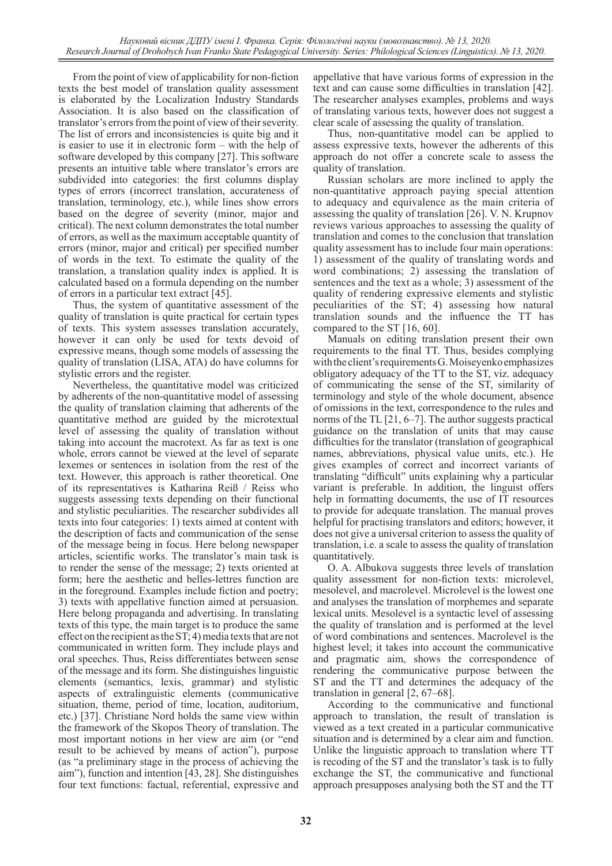From the point of view of applicability for non-fiction texts the best model of translation quality assessment is elaborated by the Localization Industry Standards Association. It is also based on the classification of translator's errors from the point of view of their severity. The list of errors and inconsistencies is quite big and it is easier to use it in electronic form – with the help of software developed by this company [27]. This software presents an intuitive table where translator's errors are subdivided into categories: the first columns display types of errors (incorrect translation, accurateness of translation, terminology, etc.), while lines show errors based on the degree of severity (minor, major and critical). The next column demonstrates the total number of errors, as well as the maximum acceptable quantity of errors (minor, major and critical) per specified number of words in the text. To estimate the quality of the translation, a translation quality index is applied. It is calculated based on a formula depending on the number of errors in a particular text extract [45].

Thus, the system of quantitative assessment of the quality of translation is quite practical for certain types of texts. This system assesses translation accurately, however it can only be used for texts devoid of expressive means, though some models of assessing the quality of translation (LISA, ATA) do have columns for stylistic errors and the register.

Nevertheless, the quantitative model was criticized by adherents of the non-quantitative model of assessing the quality of translation claiming that adherents of the quantitative method are guided by the microtextual level of assessing the quality of translation without taking into account the macrotext. As far as text is one whole, errors cannot be viewed at the level of separate lexemes or sentences in isolation from the rest of the text. However, this approach is rather theoretical. One of its representatives is Katharina Reiß / Reiss who suggests assessing texts depending on their functional and stylistic peculiarities. The researcher subdivides all texts into four categories: 1) texts aimed at content with the description of facts and communication of the sense of the message being in focus. Here belong newspaper articles, scientific works. The translator's main task is to render the sense of the message; 2) texts oriented at form; here the aesthetic and belles-lettres function are in the foreground. Examples include fiction and poetry; 3) texts with appellative function aimed at persuasion. Here belong propaganda and advertising. In translating texts of this type, the main target is to produce the same effect on the recipient as the ST; 4) media texts that are not communicated in written form. They include plays and oral speeches. Thus, Reiss differentiates between sense of the message and its form. She distinguishes linguistic elements (semantics, lexis, grammar) and stylistic aspects of extralinguistic elements (communicative situation, theme, period of time, location, auditorium, etc.) [37]. Christiane Nord holds the same view within the framework of the Skopos Theory of translation. The most important notions in her view are aim (or "end result to be achieved by means of action"), purpose (as "a preliminary stage in the process of achieving the aim"), function and intention [43, 28]. She distinguishes four text functions: factual, referential, expressive and

appellative that have various forms of expression in the text and can cause some difficulties in translation [42]. The researcher analyses examples, problems and ways of translating various texts, however does not suggest a clear scale of assessing the quality of translation.

Thus, non-quantitative model can be applied to assess expressive texts, however the adherents of this approach do not offer a concrete scale to assess the quality of translation.

Russian scholars are more inclined to apply the non-quantitative approach paying special attention to adequacy and equivalence as the main criteria of assessing the quality of translation [26]. V. N. Krupnov reviews various approaches to assessing the quality of translation and comes to the conclusion that translation quality assessment has to include four main operations: 1) assessment of the quality of translating words and word combinations; 2) assessing the translation of sentences and the text as a whole; 3) assessment of the quality of rendering expressive elements and stylistic peculiarities of the ST; 4) assessing how natural translation sounds and the influence the TT has compared to the ST [16, 60].

Manuals on editing translation present their own requirements to the final TT. Thus, besides complying with the client's requirements G.Moiseyenko emphasizes obligatory adequacy of the TT to the ST, viz. adequacy of communicating the sense of the ST, similarity of terminology and style of the whole document, absence of omissions in the text, correspondence to the rules and norms of the TL [21, 6–7]. The author suggests practical guidance on the translation of units that may cause difficulties for the translator (translation of geographical names, abbreviations, physical value units, etc.). He gives examples of correct and incorrect variants of translating "difficult" units explaining why a particular variant is preferable. In addition, the linguist offers help in formatting documents, the use of IT resources to provide for adequate translation. The manual proves helpful for practising translators and editors; however, it does not give a universal criterion to assess the quality of translation, i.e. a scale to assess the quality of translation quantitatively.

O. A. Albukova suggests three levels of translation quality assessment for non-fiction texts: microlevel, mesolevel, and macrolevel. Microlevel is the lowest one and analyses the translation of morphemes and separate lexical units. Mesolevel is a syntactic level of assessing the quality of translation and is performed at the level of word combinations and sentences. Macrolevel is the highest level; it takes into account the communicative and pragmatic aim, shows the correspondence of rendering the communicative purpose between the ST and the TT and determines the adequacy of the translation in general [2, 67–68].

According to the communicative and functional approach to translation, the result of translation is viewed as a text created in a particular communicative situation and is determined by a clear aim and function. Unlike the linguistic approach to translation where TT is recoding of the ST and the translator's task is to fully exchange the ST, the communicative and functional approach presupposes analysing both the ST and the TT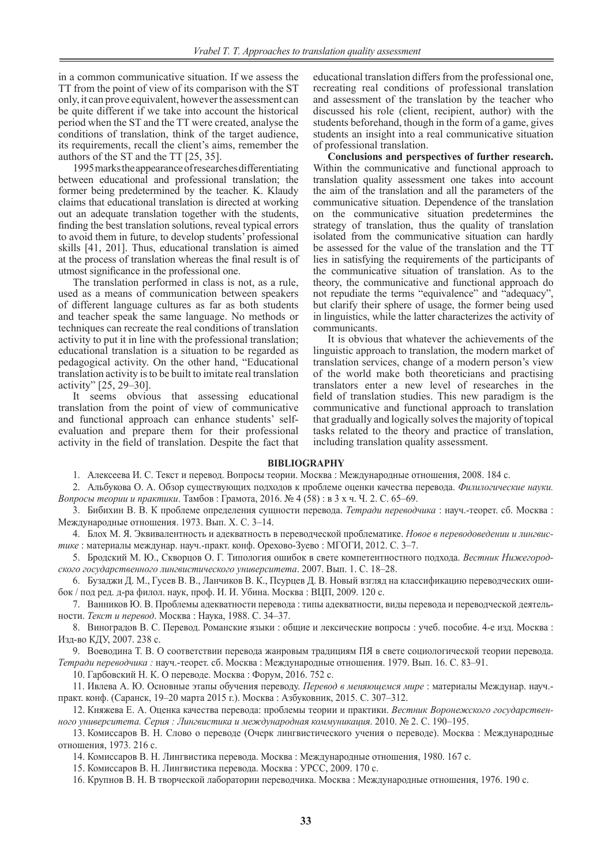in a common communicative situation. If we assess the TT from the point of view of its comparison with the ST only, it can prove equivalent, however the assessment can be quite different if we take into account the historical period when the ST and the TT were created, analyse the conditions of translation, think of the target audience, its requirements, recall the client's aims, remember the authors of the ST and the TT [25, 35].

1995 marks the appearance of researches differentiating between educational and professional translation; the former being predetermined by the teacher. K. Klaudy claims that educational translation is directed at working out an adequate translation together with the students, finding the best translation solutions, reveal typical errors to avoid them in future, to develop students' professional skills [41, 201]. Thus, educational translation is aimed at the process of translation whereas the final result is of utmost significance in the professional one.

The translation performed in class is not, as a rule, used as a means of communication between speakers of different language cultures as far as both students and teacher speak the same language. No methods or techniques can recreate the real conditions of translation activity to put it in line with the professional translation; educational translation is a situation to be regarded as pedagogical activity. On the other hand, "Educational translation activity is to be built to imitate real translation activity" [25, 29–30].

It seems obvious that assessing educational translation from the point of view of communicative and functional approach can enhance students' selfevaluation and prepare them for their professional activity in the field of translation. Despite the fact that

educational translation differs from the professional one, recreating real conditions of professional translation and assessment of the translation by the teacher who discussed his role (client, recipient, author) with the students beforehand, though in the form of a game, gives students an insight into a real communicative situation of professional translation.

**Conclusions and perspectives of further research.**  Within the communicative and functional approach to translation quality assessment one takes into account the aim of the translation and all the parameters of the communicative situation. Dependence of the translation on the communicative situation predetermines the strategy of translation, thus the quality of translation isolated from the communicative situation can hardly be assessed for the value of the translation and the TT lies in satisfying the requirements of the participants of the communicative situation of translation. As to the theory, the communicative and functional approach do not repudiate the terms "equivalence" and "adequacy" but clarify their sphere of usage, the former being used in linguistics, while the latter characterizes the activity of communicants.

It is obvious that whatever the achievements of the linguistic approach to translation, the modern market of translation services, change of a modern person's view of the world make both theoreticians and practising translators enter a new level of researches in the field of translation studies. This new paradigm is the communicative and functional approach to translation that gradually and logically solves the majority of topical tasks related to the theory and practice of translation, including translation quality assessment.

#### **BIBLIOGRAPHY**

1. Алексеева И. С. Текст и перевод. Вопросы теории. Москва : Международные отношения, 2008. 184 с.

2. Альбукова О. А. Обзор существующих подходов к проблеме оценки качества перевода. *Филилогические науки. Вопросы теории и практики*. Тамбов : Грамота, 2016. № 4 (58) : в 3 х ч. Ч. 2. С. 65–69.

3. Бибихин В. В. К проблеме определения сущности перевода. *Тетради переводчика* : науч.-теорет. сб. Москва : Международные отношения. 1973. Вып. Х. С. 3–14.

4. Блох М. Я. Эквивалентность и адекватность в переводческой проблематике. *Новое в переводоведении и лингвистике* : материалы междунар. науч.-практ. конф. Орехово-Зуево : МГОГИ, 2012. С. 3–7.

5. Бродский М. Ю., Скворцов О. Г. Типология ошибок в свете компетентностного подхода. *Вестник Нижегородского государственного лингвистического университета*. 2007. Вып. 1. С. 18–28.

6. Бузаджи Д. М., Гусев В. В., Ланчиков В. К., Псурцев Д. В. Новый взгляд на классификацию переводческих ошибок / под ред. д-ра филол. наук, проф. И. И. Убина. Москва : ВЦП, 2009. 120 с.

7. Ванников Ю. В. Проблемы адекватности перевода : типы адекватности, виды перевода и переводческой деятельности. *Текст и перевод*. Москва : Наука, 1988. С. 34–37.

8. Виноградов В. С. Перевод. Романские языки : общие и лексические вопросы : учеб. пособие. 4-е изд. Москва : Изд-во КДУ, 2007. 238 с.

9. Воеводина Т. В. О соответствии перевода жанровым традициям ПЯ в свете социологической теории перевода. *Тетради переводчика :* науч.-теорет. сб. Москва : Международные отношения. 1979. Вып. 16. С. 83–91.

10. Гарбовский Н. К. О переводе. Москва : Форум, 2016. 752 с.

11. Ивлева А. Ю. Основные этапы обучения переводу. *Перевод в меняющемся мире* : материалы Междунар. науч. практ. конф. (Саранск, 19–20 марта 2015 г.). Москва : Азбуковник, 2015. С. 307–312.

12. Княжева Е. А. Оценка качества перевода: проблемы теории и практики. *Вестник Воронежского государственного университета. Серия : Лингвистика и международная коммуникация*. 2010. № 2. С. 190–195.

13. Комиссаров В. Н. Слово о переводе (Очерк лингвистического учения о переводе). Москва : Международные отношения, 1973. 216 с.

14. Комиссаров В. Н. Лингвистика перевода. Москва : Международные отношения, 1980. 167 с.

15. Комиссаров В. Н. Лингвистика перевода. Москва : УРСС, 2009. 170 с.

16. Крупнов В. Н. В творческой лаборатории переводчика. Москва : Международные отношения, 1976. 190 с.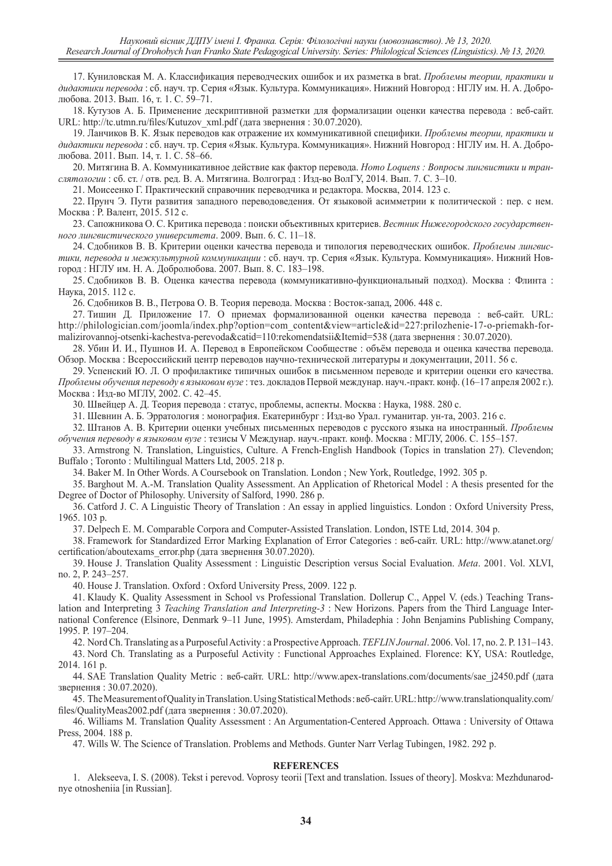17. Куниловская М. А. Классификация переводческих ошибок и их разметка в brat. *Проблемы теории, практики и дидактики перевода* : сб. науч. тр. Серия «Язык. Культура. Коммуникация». Нижний Новгород : НГЛУ им. Н. А. Добролюбова. 2013. Вып. 16, т. 1. С. 59–71.

18. Кутузов А. Б. Применение дескриптивной разметки для формализации оценки качества перевода : веб-сайт. URL: http://tc.utmn.ru/files/Kutuzov\_xml.pdf (дата звернення : 30.07.2020).

19. Ланчиков В. К. Язык переводов как отражение их коммуникативной специфики. *Проблемы теории, практики и дидактики перевода* : сб. науч. тр. Серия «Язык. Культура. Коммуникация». Нижний Новгород : НГЛУ им. Н. А. Добролюбова. 2011. Вып. 14, т. 1. С. 58–66.

20. Митягина В. А. Коммуникативное действие как фактор перевода. *Homo Loquens : Вопросы лингвистики и транслятологии* : сб. ст. / отв. ред. В. А. Митягина. Волгоград : Изд-во ВолГУ, 2014. Вып. 7. С. 3–10.

21. Моисеенко Г. Практический справочник переводчика и редактора. Москва, 2014. 123 с.

22. Прунч Э. Пути развития западного переводоведения. От языковой асимметрии к политической : пер. с нем. Москва : Р. Валент, 2015. 512 с.

23. Сапожникова О. С. Критика перевода : поиски объективных критериев. *Вестник Нижегородского государственного лингвистического университета*. 2009. Вып. 6. С. 11–18.

24. Сдобников В. В. Критерии оценки качества перевода и типология переводческих ошибок. *Проблемы лингвистики, перевода и межкультурной коммуникации* : сб. науч. тр. Серия «Язык. Культура. Коммуникация». Нижний Новгород : НГЛУ им. Н. А. Добролюбова. 2007. Вып. 8. С. 183–198.

25. Сдобников В. В. Оценка качества перевода (коммуникативно-функциональный подход). Москва : Флинта : Наука, 2015. 112 с.

26. Сдобников В. В., Петрова О. В. Теория перевода. Москва : Восток-запад, 2006. 448 с.

27. Тишин Д. Приложение 17. О приемах формализованной оценки качества перевода : веб-сайт. URL: http://philologician.com/joomla/index.php?option=com\_content&view=article&id=227:prilozhenie-17-o-priemakh-formalizirovannoj-otsenki-kachestva-perevoda&catid=110:rekomendatsii&Itemid=538 (дата звернення : 30.07.2020).

28. Убин И. И., Пушнов И. А. Перевод в Европейском Сообществе : объём перевода и оценка качества перевода. Обзор. Москва : Всероссийский центр переводов научно-технической литературы и документации, 2011. 56 с.

29. Успенский Ю. Л. О профилактике типичных ошибок в письменном переводе и критерии оценки его качества. *Проблемы обучения переводу в языковом вузе* : тез. докладов Первой междунар. науч.-практ. конф. (16–17 апреля 2002 г.). Москва : Изд-во МГЛУ, 2002. С. 42–45.

30. Швейцер А. Д. Теория перевода : статус, проблемы, аспекты. Москва : Наука, 1988. 280 с.

31. Шевнин А. Б. Эрратология : монография. Екатеринбург : Изд-во Урал. гуманитар. ун-та, 2003. 216 с.

32. Штанов А. В. Критерии оценки учебных письменных переводов с русского языка на иностранный. *Проблемы обучения переводу в языковом вузе* : тезисы V Междунар. науч.-практ. конф. Москва : МГЛУ, 2006. С. 155–157.

33. Armstrong N. Translation, Linguistics, Culture. A French-English Handbook (Topics in translation 27). Clevendon; Buffalo ; Toronto : Multilingual Matters Ltd, 2005. 218 p.

34. Baker M. In Other Words. A Coursebook on Translation. London ; New York, Routledge, 1992. 305 p.

35. Barghout M. A.-M. Translation Quality Assessment. An Application of Rhetorical Model : A thesis presented for the Degree of Doctor of Philosophy. University of Salford, 1990. 286 p.

36. Catford J. C. A Linguistic Theory of Translation : An essay in applied linguistics. London : Oxford University Press, 1965. 103 p.

37. Delpech E. M. Comparable Corpora and Computer-Assisted Translation. London, ISTE Ltd, 2014. 304 p.

38. Framework for Standardized Error Marking Explanation of Error Categories : веб-сайт. URL: http://www.atanet.org/ certification/aboutexams\_error.php (дата звернення 30.07.2020).

39. House J. Translation Quality Assessment : Linguistic Description versus Social Evaluation. *Meta*. 2001. Vol. XLVI, no. 2, P. 243–257.

40. House J. Translation. Oxford : Oxford University Press, 2009. 122 p.

41. Klaudy K. Quality Assessment in School vs Professional Translation. Dollerup C., Appel V. (eds.) Teaching Translation and Interpreting 3 *Teaching Translation and Interpreting-3* : New Horizons. Papers from the Third Language International Conference (Elsinore, Denmark 9–11 June, 1995). Amsterdam, Philadephia : John Benjamins Publishing Company, 1995. P. 197–204.

42. Nord Ch. Translating as a Purposeful Activity : a Prospective Approach. *TEFLIN Journal*. 2006. Vol. 17, no. 2. P. 131–143.

43. Nord Ch. Translating as a Purposeful Activity : Functional Approaches Explained. Florence: KY, USA: Routledge, 2014. 161 p.

44. SAE Translation Quality Metric : веб-сайт. URL: http://www.apex-translations.com/documents/sae\_j2450.pdf (дата звернення : 30.07.2020).

45. The Measurement of Quality in Translation. Using Statistical Methods : веб-сайт. URL: http://www.translationquality.com/ files/QualityMeas2002.pdf (дата звернення : 30.07.2020).

46. Williams M. Translation Quality Assessment : An Argumentation-Centered Approach. Ottawa : University of Ottawa Press, 2004. 188 p.

47. Wills W. The Science of Translation. Problems and Methods. Gunter Narr Verlag Tubingen, 1982. 292 p.

#### **REFERENCES**

1. Alekseeva, I. S. (2008). Tekst i perevod. Voprosy teorii [Text and translation. Issues of theory]. Moskva: Mezhdunarodnye otnosheniia [in Russian].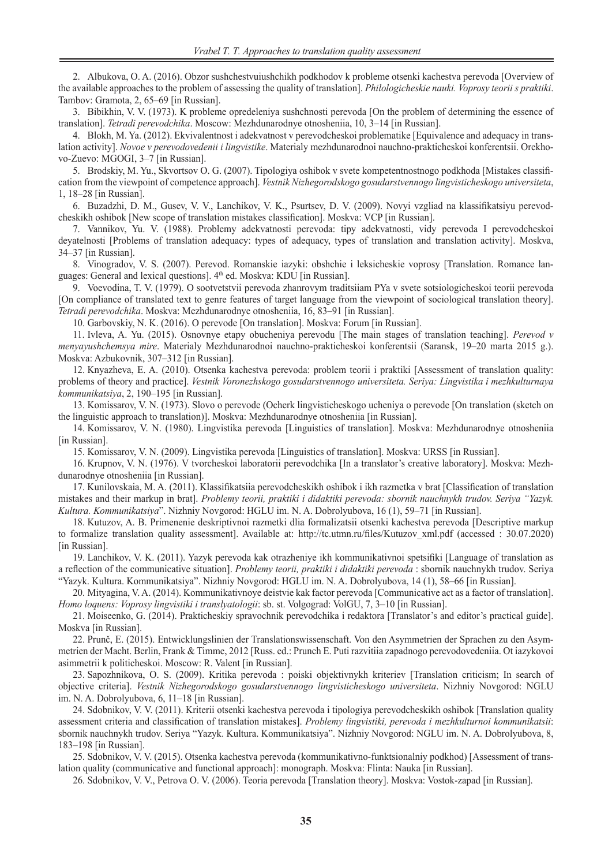2. Albukova, O. A. (2016). Obzor sushchestvuiushchikh podkhodov k probleme otsenki kachestva perevoda [Overview of the available approaches to the problem of assessing the quality of translation]. *Philologicheskie nauki. Voprosy teorii s praktiki*. Tambov: Gramota, 2, 65–69 [in Russian].

3. Bibikhin, V. V. (1973). K probleme opredeleniya sushchnosti perevoda [On the problem of determining the essence of translation]. *Tetradi perevodchika*. Moscow: Mezhdunarodnye otnosheniia, 10, 3–14 [in Russian].

4. Blokh, M. Ya. (2012). Ekvivalentnost i adekvatnost v perevodcheskoi problematike [Equivalence and adequacy in translation activity]. *Novoe v perevodovedenii i lingvistike*. Materialy mezhdunarodnoi nauchno-prakticheskoi konferentsii. Orekhovo-Zuevo: MGOGI, 3–7 [in Russian].

5. Brodskiy, M. Yu., Skvortsov O. G. (2007). Tipologiya oshibok v svete kompetentnostnogo podkhoda [Mistakes classification from the viewpoint of competence approach]. *Vestnik Nizhegorodskogo gosudarstvennogo lingvisticheskogo universiteta*, 1, 18–28 [in Russian].

6. Buzadzhi, D. M., Gusev, V. V., Lanchikov, V. K., Psurtsev, D. V. (2009). Novyi vzgliad na klassifikatsiyu perevodcheskikh oshibok [New scope of translation mistakes classification]. Moskva: VCP [in Russian].

7. Vannikov, Yu. V. (1988). Problemy adekvatnosti perevoda: tipy adekvatnosti, vidy perevoda I perevodcheskoi deyatelnosti [Problems of translation adequacy: types of adequacy, types of translation and translation activity]. Moskva, 34–37 [in Russian].

8. Vinogradov, V. S. (2007). Perevod. Romanskie iazyki: obshchie i leksicheskie voprosy [Translation. Romance languages: General and lexical questions]. 4<sup>th</sup> ed. Moskva: KDU [in Russian].

9. Voevodina, T. V. (1979). O sootvetstvii perevoda zhanrovym traditsiiam PYa v svete sotsiologicheskoi teorii perevoda [On compliance of translated text to genre features of target language from the viewpoint of sociological translation theory]. *Tetradi perevodchika*. Moskva: Mezhdunarodnye otnosheniia, 16, 83–91 [in Russian].

10. Garbovskiy, N. K. (2016). O perevode [On translation]. Moskva: Forum [in Russian].

11. Ivleva, A. Yu. (2015). Osnovnye etapy obucheniya perevodu [The main stages of translation teaching]. *Perevod v menyayushchemsya mire*. Materialy Mezhdunarodnoi nauchno-prakticheskoi konferentsii (Saransk, 19–20 marta 2015 g.). Moskva: Azbukovnik, 307–312 [in Russian].

12. Knyazheva, E. A. (2010). Otsenka kachestva perevoda: problem teorii i praktiki [Assessment of translation quality: problems of theory and practice]. *Vestnik Voronezhskogo gosudarstvennogo universiteta. Seriya: Lingvistika i mezhkulturnaya kommunikatsiya*, 2, 190–195 [in Russian].

13. Komissarov, V. N. (1973). Slovo o perevode (Ocherk lingvisticheskogo ucheniya o perevode [On translation (sketch on the linguistic approach to translation)]. Moskva: Mezhdunarodnye otnosheniia [in Russian].

14. Komissarov, V. N. (1980). Lingvistika perevoda [Linguistics of translation]. Moskva: Mezhdunarodnye otnosheniia [in Russian].

15. Komissarov, V. N. (2009). Lingvistika perevoda [Linguistics of translation]. Moskva: URSS [in Russian].

16. Krupnov, V. N. (1976). V tvorcheskoi laboratorii perevodchika [In a translator's creative laboratory]. Moskva: Mezhdunarodnye otnosheniia [in Russian].

17. Kunilovskaia, M. A. (2011). Klassifikatsiia perevodcheskikh oshibok i ikh razmetka v brat [Classification of translation mistakes and their markup in brat]. *Problemy teorii, praktiki i didaktiki perevoda: sbornik nauchnykh trudov. Seriya "Yazyk. Kultura. Kommunikatsiya*". Nizhniy Novgorod: HGLU im. N. A. Dobrolyubova, 16 (1), 59–71 [in Russian].

18. Kutuzov, A. B. Primenenie deskriptivnoi razmetki dlia formalizatsii otsenki kachestva perevoda [Descriptive markup to formalize translation quality assessment]. Available at: http://tc.utmn.ru/files/Kutuzov xml.pdf (accessed : 30.07.2020) [in Russian].

19. Lanchikov, V. K. (2011). Yazyk perevoda kak otrazheniye ikh kommunikativnoi spetsifiki [Language of translation as a reflection of the communicative situation]. *Problemy teorii, praktiki i didaktiki perevoda* : sbornik nauchnykh trudov. Seriya "Yazyk. Kultura. Kommunikatsiya". Nizhniy Novgorod: HGLU im. N. A. Dobrolyubova, 14 (1), 58–66 [in Russian].

20. Mityagina, V. A. (2014). Kommunikativnoye deistvie kak factor perevoda [Communicative act as a factor of translation]. *Homo loquens: Voprosy lingvistiki i translyatologii*: sb. st. Volgograd: VolGU, 7, 3–10 [in Russian].

21. Moiseenko, G. (2014). Prakticheskiy spravochnik perevodchika i redaktora [Translator's and editor's practical guide]. Moskva [in Russian].

22. Prunč, E. (2015). Entwicklungslinien der Translationswissenschaft. Von den Asymmetrien der Sprachen zu den Asymmetrien der Macht. Berlin, Frank & Timme, 2012 [Russ. ed.: Prunch E. Puti razvitiia zapadnogo perevodovedeniia. Ot iazykovoi asimmetrii k politicheskoi. Moscow: R. Valent [in Russian].

23. Sapozhnikova, O. S. (2009). Kritika perevoda : poiski objektivnykh kriteriev [Translation criticism; In search of objective criteria]. *Vestnik Nizhegorodskogo gosudarstvennogo lingvisticheskogo universiteta*. Nizhniy Novgorod: NGLU im. N. A. Dobrolyubova, 6, 11–18 [in Russian].

24. Sdobnikov, V. V. (2011). Kriterii otsenki kachestva perevoda i tipologiya perevodcheskikh oshibok [Translation quality assessment criteria and classification of translation mistakes]. *Problemy lingvistiki, perevoda i mezhkulturnoi kommunikatsii*: sbornik nauchnykh trudov. Seriya "Yazyk. Kultura. Kommunikatsiya". Nizhniy Novgorod: NGLU im. N. A. Dobrolyubova, 8, 183–198 [in Russian].

25. Sdobnikov, V. V. (2015). Otsenka kachestva perevoda (kommunikativno-funktsionalniy podkhod) [Assessment of translation quality (communicative and functional approach]: monograph. Moskva: Flinta: Nauka [in Russian].

26. Sdobnikov, V. V., Petrova O. V. (2006). Teoria perevoda [Translation theory]. Moskva: Vostok-zapad [in Russian].